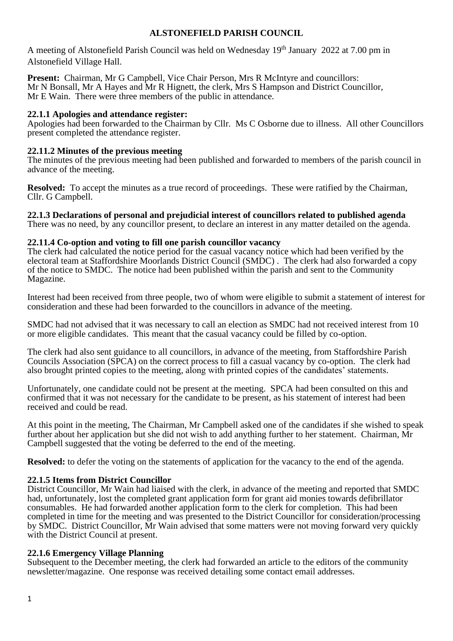# **ALSTONEFIELD PARISH COUNCIL**

A meeting of Alstonefield Parish Council was held on Wednesday 19<sup>th</sup> January 2022 at 7.00 pm in Alstonefield Village Hall.

**Present:** Chairman, Mr G Campbell, Vice Chair Person, Mrs R McIntyre and councillors: Mr N Bonsall, Mr A Hayes and Mr R Hignett, the clerk, Mrs S Hampson and District Councillor, Mr E Wain. There were three members of the public in attendance.

# **22.1.1 Apologies and attendance register:**

Apologies had been forwarded to the Chairman by Cllr. Ms C Osborne due to illness. All other Councillors present completed the attendance register.

# **22.11.2 Minutes of the previous meeting**

The minutes of the previous meeting had been published and forwarded to members of the parish council in advance of the meeting.

**Resolved:** To accept the minutes as a true record of proceedings. These were ratified by the Chairman, Cllr. G Campbell.

**22.1.3 Declarations of personal and prejudicial interest of councillors related to published agenda** There was no need, by any councillor present, to declare an interest in any matter detailed on the agenda.

# **22.11.4 Co-option and voting to fill one parish councillor vacancy**

The clerk had calculated the notice period for the casual vacancy notice which had been verified by the electoral team at Staffordshire Moorlands District Council (SMDC) . The clerk had also forwarded a copy of the notice to SMDC. The notice had been published within the parish and sent to the Community Magazine.

Interest had been received from three people, two of whom were eligible to submit a statement of interest for consideration and these had been forwarded to the councillors in advance of the meeting.

SMDC had not advised that it was necessary to call an election as SMDC had not received interest from 10 or more eligible candidates. This meant that the casual vacancy could be filled by co-option.

The clerk had also sent guidance to all councillors, in advance of the meeting, from Staffordshire Parish Councils Association (SPCA) on the correct process to fill a casual vacancy by co-option. The clerk had also brought printed copies to the meeting, along with printed copies of the candidates' statements.

Unfortunately, one candidate could not be present at the meeting. SPCA had been consulted on this and confirmed that it was not necessary for the candidate to be present, as his statement of interest had been received and could be read.

At this point in the meeting, The Chairman, Mr Campbell asked one of the candidates if she wished to speak further about her application but she did not wish to add anything further to her statement. Chairman, Mr Campbell suggested that the voting be deferred to the end of the meeting.

**Resolved:** to defer the voting on the statements of application for the vacancy to the end of the agenda.

# **22.1.5 Items from District Councillor**

District Councillor, Mr Wain had liaised with the clerk, in advance of the meeting and reported that SMDC had, unfortunately, lost the completed grant application form for grant aid monies towards defibrillator consumables. He had forwarded another application form to the clerk for completion. This had been completed in time for the meeting and was presented to the District Councillor for consideration/processing by SMDC. District Councillor, Mr Wain advised that some matters were not moving forward very quickly with the District Council at present.

# **22.1.6 Emergency Village Planning**

Subsequent to the December meeting, the clerk had forwarded an article to the editors of the community newsletter/magazine. One response was received detailing some contact email addresses.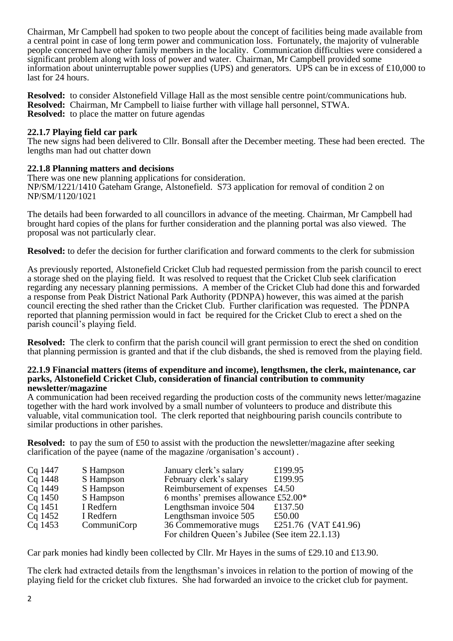Chairman, Mr Campbell had spoken to two people about the concept of facilities being made available from a central point in case of long term power and communication loss. Fortunately, the majority of vulnerable people concerned have other family members in the locality. Communication difficulties were considered a significant problem along with loss of power and water. Chairman, Mr Campbell provided some information about uninterruptable power supplies (UPS) and generators. UPS can be in excess of £10,000 to last for 24 hours.

**Resolved:** to consider Alstonefield Village Hall as the most sensible centre point/communications hub. **Resolved:** Chairman, Mr Campbell to liaise further with village hall personnel, STWA. **Resolved:** to place the matter on future agendas

# **22.1.7 Playing field car park**

The new signs had been delivered to Cllr. Bonsall after the December meeting. These had been erected. The lengths man had out chatter down

# **22.1.8 Planning matters and decisions**

There was one new planning applications for consideration. NP/SM/1221/1410 Gateham Grange, Alstonefield. S73 application for removal of condition 2 on NP/SM/1120/1021

The details had been forwarded to all councillors in advance of the meeting. Chairman, Mr Campbell had brought hard copies of the plans for further consideration and the planning portal was also viewed. The proposal was not particularly clear.

**Resolved:** to defer the decision for further clarification and forward comments to the clerk for submission

As previously reported, Alstonefield Cricket Club had requested permission from the parish council to erect a storage shed on the playing field. It was resolved to request that the Cricket Club seek clarification regarding any necessary planning permissions. A member of the Cricket Club had done this and forwarded a response from Peak District National Park Authority (PDNPA) however, this was aimed at the parish council erecting the shed rather than the Cricket Club. Further clarification was requested. The PDNPA reported that planning permission would in fact be required for the Cricket Club to erect a shed on the parish council's playing field.

**Resolved:** The clerk to confirm that the parish council will grant permission to erect the shed on condition that planning permission is granted and that if the club disbands, the shed is removed from the playing field.

#### **22.1.9 Financial matters (items of expenditure and income), lengthsmen, the clerk, maintenance, car parks, Alstonefield Cricket Club, consideration of financial contribution to community newsletter/magazine**

A communication had been received regarding the production costs of the community news letter/magazine together with the hard work involved by a small number of volunteers to produce and distribute this valuable, vital communication tool. The clerk reported that neighbouring parish councils contribute to similar productions in other parishes.

**Resolved:** to pay the sum of £50 to assist with the production the newsletter/magazine after seeking clarification of the payee (name of the magazine /organisation's account) .

| Cq 1447   | S Hampson   | January clerk's salary                          | £199.95              |
|-----------|-------------|-------------------------------------------------|----------------------|
| Cq 1448   | S Hampson   | February clerk's salary                         | £199.95              |
| Cq 1449   | S Hampson   | Reimbursement of expenses £4.50                 |                      |
| $Cq$ 1450 | S Hampson   | 6 months' premises allowance $£52.00*$          |                      |
| Cq 1451   | I Redfern   | Lengthsman invoice 504                          | £137.50              |
| Cq 1452   | I Redfern   | Lengthsman invoice 505                          | £50.00               |
| $Cq$ 1453 | CommuniCorp | 36 Commemorative mugs                           | £251.76 (VAT £41.96) |
|           |             | For children Queen's Jubilee (See item 22.1.13) |                      |

Car park monies had kindly been collected by Cllr. Mr Hayes in the sums of £29.10 and £13.90.

The clerk had extracted details from the lengthsman's invoices in relation to the portion of mowing of the playing field for the cricket club fixtures. She had forwarded an invoice to the cricket club for payment.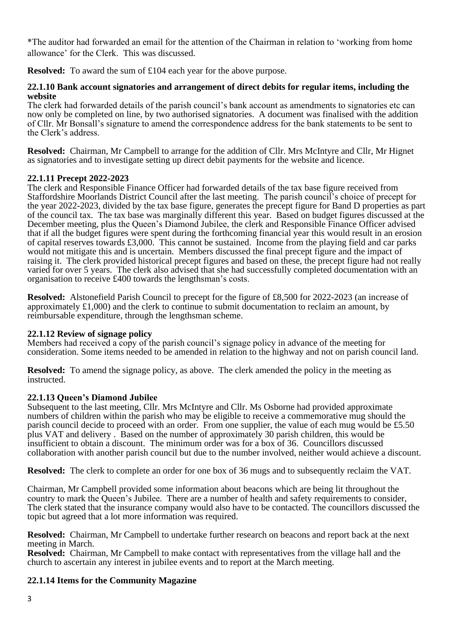\*The auditor had forwarded an email for the attention of the Chairman in relation to 'working from home allowance' for the Clerk. This was discussed.

**Resolved:** To award the sum of £104 each year for the above purpose.

# **22.1.10 Bank account signatories and arrangement of direct debits for regular items, including the website**

The clerk had forwarded details of the parish council's bank account as amendments to signatories etc can now only be completed on line, by two authorised signatories. A document was finalised with the addition of Cllr. Mr Bonsall's signature to amend the correspondence address for the bank statements to be sent to the Clerk's address.

**Resolved:** Chairman, Mr Campbell to arrange for the addition of Cllr. Mrs McIntyre and Cllr, Mr Hignet as signatories and to investigate setting up direct debit payments for the website and licence.

# **22.1.11 Precept 2022-2023**

The clerk and Responsible Finance Officer had forwarded details of the tax base figure received from Staffordshire Moorlands District Council after the last meeting. The parish council's choice of precept for the year 2022-2023, divided by the tax base figure, generates the precept figure for Band D properties as part of the council tax. The tax base was marginally different this year. Based on budget figures discussed at the December meeting, plus the Queen's Diamond Jubilee, the clerk and Responsible Finance Officer advised that if all the budget figures were spent during the forthcoming financial year this would result in an erosion of capital reserves towards £3,000. This cannot be sustained. Income from the playing field and car parks would not mitigate this and is uncertain. Members discussed the final precept figure and the impact of raising it. The clerk provided historical precept figures and based on these, the precept figure had not really varied for over 5 years. The clerk also advised that she had successfully completed documentation with an organisation to receive £400 towards the lengthsman's costs.

**Resolved:** Alstonefield Parish Council to precept for the figure of £8,500 for 2022-2023 (an increase of approximately £1,000) and the clerk to continue to submit documentation to reclaim an amount, by reimbursable expenditure, through the lengthsman scheme.

# **22.1.12 Review of signage policy**

Members had received a copy of the parish council's signage policy in advance of the meeting for consideration. Some items needed to be amended in relation to the highway and not on parish council land.

**Resolved:** To amend the signage policy, as above. The clerk amended the policy in the meeting as instructed.

# **22.1.13 Queen's Diamond Jubilee**

Subsequent to the last meeting, Cllr. Mrs McIntyre and Cllr. Ms Osborne had provided approximate numbers of children within the parish who may be eligible to receive a commemorative mug should the parish council decide to proceed with an order. From one supplier, the value of each mug would be £5.50 plus VAT and delivery . Based on the number of approximately 30 parish children, this would be insufficient to obtain a discount. The minimum order was for a box of 36. Councillors discussed collaboration with another parish council but due to the number involved, neither would achieve a discount.

**Resolved:** The clerk to complete an order for one box of 36 mugs and to subsequently reclaim the VAT.

Chairman, Mr Campbell provided some information about beacons which are being lit throughout the country to mark the Queen's Jubilee. There are a number of health and safety requirements to consider, The clerk stated that the insurance company would also have to be contacted. The councillors discussed the topic but agreed that a lot more information was required.

**Resolved:** Chairman, Mr Campbell to undertake further research on beacons and report back at the next meeting in March.

**Resolved:** Chairman, Mr Campbell to make contact with representatives from the village hall and the church to ascertain any interest in jubilee events and to report at the March meeting.

# **22.1.14 Items for the Community Magazine**